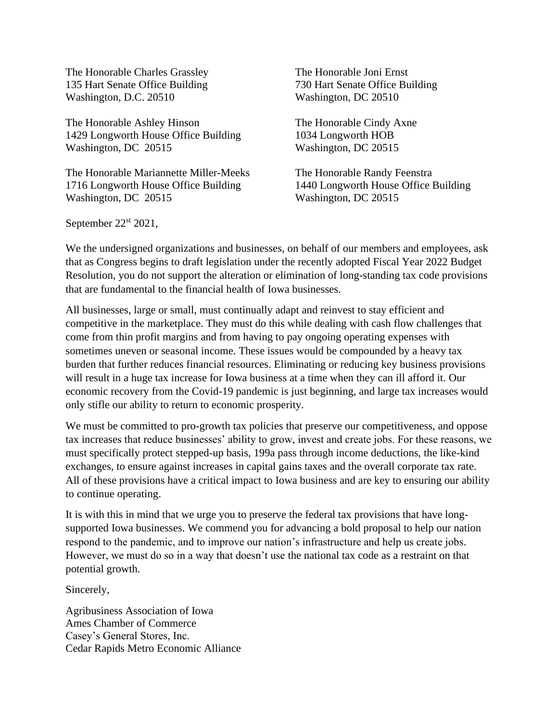The Honorable Charles Grassley 135 Hart Senate Office Building Washington, D.C. 20510

The Honorable Ashley Hinson 1429 Longworth House Office Building Washington, DC 20515

The Honorable Mariannette Miller-Meeks 1716 Longworth House Office Building Washington, DC 20515

The Honorable Joni Ernst 730 Hart Senate Office Building Washington, DC 20510

The Honorable Cindy Axne 1034 Longworth HOB Washington, DC 20515

The Honorable Randy Feenstra 1440 Longworth House Office Building Washington, DC 20515

September 22<sup>st</sup> 2021,

We the undersigned organizations and businesses, on behalf of our members and employees, ask that as Congress begins to draft legislation under the recently adopted Fiscal Year 2022 Budget Resolution, you do not support the alteration or elimination of long-standing tax code provisions that are fundamental to the financial health of Iowa businesses.

All businesses, large or small, must continually adapt and reinvest to stay efficient and competitive in the marketplace. They must do this while dealing with cash flow challenges that come from thin profit margins and from having to pay ongoing operating expenses with sometimes uneven or seasonal income. These issues would be compounded by a heavy tax burden that further reduces financial resources. Eliminating or reducing key business provisions will result in a huge tax increase for Iowa business at a time when they can ill afford it. Our economic recovery from the Covid-19 pandemic is just beginning, and large tax increases would only stifle our ability to return to economic prosperity.

We must be committed to pro-growth tax policies that preserve our competitiveness, and oppose tax increases that reduce businesses' ability to grow, invest and create jobs. For these reasons, we must specifically protect stepped-up basis, 199a pass through income deductions, the like-kind exchanges, to ensure against increases in capital gains taxes and the overall corporate tax rate. All of these provisions have a critical impact to Iowa business and are key to ensuring our ability to continue operating.

It is with this in mind that we urge you to preserve the federal tax provisions that have longsupported Iowa businesses. We commend you for advancing a bold proposal to help our nation respond to the pandemic, and to improve our nation's infrastructure and help us create jobs. However, we must do so in a way that doesn't use the national tax code as a restraint on that potential growth.

Sincerely,

Agribusiness Association of Iowa Ames Chamber of Commerce Casey's General Stores, Inc. Cedar Rapids Metro Economic Alliance